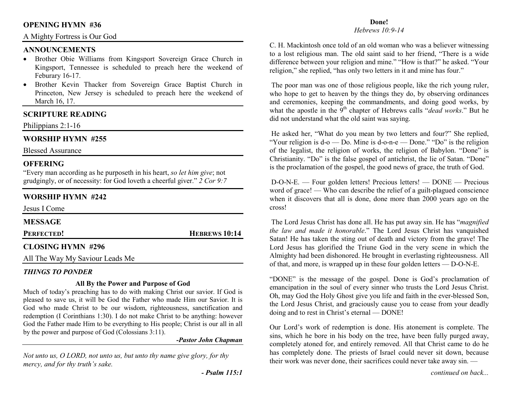# **OPENING HYMN #36**

# A Mighty Fortress is Our God

# **ANNOUNCEMENTS**

- Brother Obie Williams from Kingsport Sovereign Grace Church in Kingsport, Tennessee is scheduled to preach here the weekend of Feburary 16-17.
- Brother Kevin Thacker from Sovereign Grace Baptist Church in Princeton, New Jersey is scheduled to preach here the weekend of March 16, 17.

# **SCRIPTURE READING**

Philippians 2:1-16

# **WORSHIP HYMN #255**

Blessed Assurance

### **OFFERING**

 "Every man according as he purposeth in his heart, *so let him give*; not grudgingly, or of necessity: for God loveth a cheerful giver." *2 Cor 9:7*

## **WORSHIP HYMN #242**

Jesus I Come

**MESSAGE PERFECTED! HEBREWS 10:14 CLOSING HYMN #296** 

All The Way My Saviour Leads Me

#### *THINGS TO PONDER*

#### **All By the Power and Purpose of God**

 Much of today's preaching has to do with making Christ our savior. If God is pleased to save us, it will be God the Father who made Him our Savior. It is God who made Christ to be our wisdom, righteousness, sanctification and redemption (I Corinthians 1:30). I do not make Christ to be anything: however God the Father made Him to be everything to His people; Christ is our all in all by the power and purpose of God (Colossians 3:11).

*-Pastor John Chapman* 

*Not unto us, O LORD, not unto us, but unto thy name give glory, for thy mercy, and for thy truth's sake.* 

# **Done!**

#### *Hebrews 10:9-14*

C. H. Mackintosh once told of an old woman who was a believer witnessing to a lost religious man. The old saint said to her friend, "There is a wide difference between your religion and mine." "How is that?" he asked. "Your religion," she replied, "has only two letters in it and mine has four."

 The poor man was one of those religious people, like the rich young ruler, who hope to get to heaven by the things they do, by observing ordinances and ceremonies, keeping the commandments, and doing good works, by what the apostle in the 9<sup>th</sup> chapter of Hebrews calls "*dead works*." But he did not understand what the old saint was saying.

 He asked her, "What do you mean by two letters and four?" She replied, "Your religion is d-o — Do. Mine is d-o-n-e — Done." "Do" is the religion of the legalist, the religion of works, the religion of Babylon. "Done" is Christianity. "Do" is the false gospel of antichrist, the lie of Satan. "Done" is the proclamation of the gospel, the good news of grace, the truth of God.

 D-O-N-E. — Four golden letters! Precious letters! — DONE — Precious word of grace! — Who can describe the relief of a guilt-plagued conscience when it discovers that all is done, done more than 2000 years ago on the cross!

 The Lord Jesus Christ has done all. He has put away sin. He has "*magnified the law and made it honorable*." The Lord Jesus Christ has vanquished Satan! He has taken the sting out of death and victory from the grave! The Lord Jesus has glorified the Triune God in the very scene in which the Almighty had been dishonored. He brought in everlasting righteousness. All of that, and more, is wrapped up in these four golden letters — D-O-N-E.

"DONE" is the message of the gospel. Done is God's proclamation of emancipation in the soul of every sinner who trusts the Lord Jesus Christ. Oh, may God the Holy Ghost give you life and faith in the ever-blessed Son, the Lord Jesus Christ, and graciously cause you to cease from your deadly doing and to rest in Christ's eternal — DONE!

Our Lord's work of redemption is done. His atonement is complete. The sins, which he bore in his body on the tree, have been fully purged away, completely atoned for, and entirely removed. All that Christ came to do he has completely done. The priests of Israel could never sit down, because their work was never done, their sacrifices could never take away sin. —